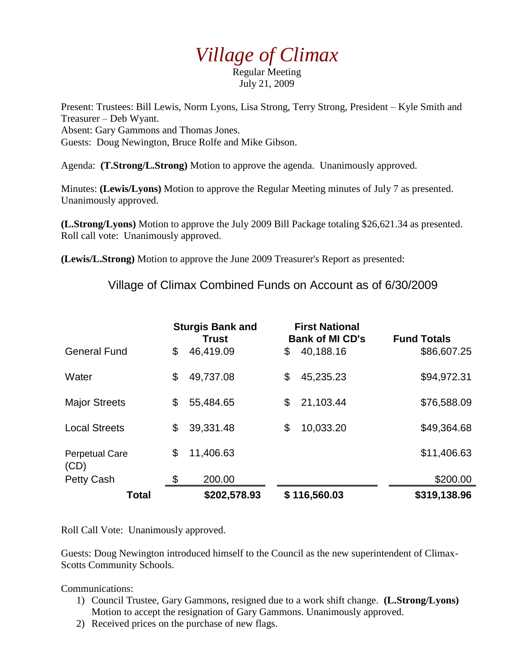## *Village of Climax*

Regular Meeting July 21, 2009

Present: Trustees: Bill Lewis, Norm Lyons, Lisa Strong, Terry Strong, President – Kyle Smith and Treasurer – Deb Wyant. Absent: Gary Gammons and Thomas Jones. Guests: Doug Newington, Bruce Rolfe and Mike Gibson.

Agenda: **(T.Strong/L.Strong)** Motion to approve the agenda. Unanimously approved.

Minutes: **(Lewis/Lyons)** Motion to approve the Regular Meeting minutes of July 7 as presented. Unanimously approved.

**(L.Strong/Lyons)** Motion to approve the July 2009 Bill Package totaling \$26,621.34 as presented. Roll call vote: Unanimously approved.

**(Lewis/L.Strong)** Motion to approve the June 2009 Treasurer's Report as presented:

Village of Climax Combined Funds on Account as of 6/30/2009

|                               | <b>Sturgis Bank and</b><br><b>Trust</b> |              | <b>First National</b><br><b>Bank of MI CD's</b> |              | <b>Fund Totals</b> |
|-------------------------------|-----------------------------------------|--------------|-------------------------------------------------|--------------|--------------------|
| <b>General Fund</b>           | \$                                      | 46,419.09    | \$                                              | 40,188.16    | \$86,607.25        |
| Water                         | \$                                      | 49,737.08    | \$                                              | 45,235.23    | \$94,972.31        |
| <b>Major Streets</b>          | \$                                      | 55,484.65    | \$                                              | 21,103.44    | \$76,588.09        |
| <b>Local Streets</b>          | \$                                      | 39,331.48    | \$                                              | 10,033.20    | \$49,364.68        |
| <b>Perpetual Care</b><br>(CD) | \$                                      | 11,406.63    |                                                 |              | \$11,406.63        |
| <b>Petty Cash</b>             | \$                                      | 200.00       |                                                 |              | \$200.00           |
| Total                         |                                         | \$202,578.93 |                                                 | \$116,560.03 | \$319,138.96       |

Roll Call Vote: Unanimously approved.

Guests: Doug Newington introduced himself to the Council as the new superintendent of Climax-Scotts Community Schools.

Communications:

- 1) Council Trustee, Gary Gammons, resigned due to a work shift change. **(L.Strong/Lyons)** Motion to accept the resignation of Gary Gammons. Unanimously approved.
- 2) Received prices on the purchase of new flags.